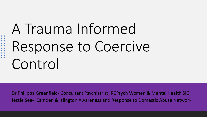# A Trauma Informed Response to Coercive Control

. . . . . . . . .<br>. . . . . . . .

Dr Philippa Greenfield- Consultant Psychiatrist, RCPsych Women & Mental Health SIG Jessie See- Camden & Islington Awareness and Response to Domestic Abuse Network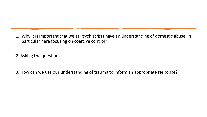1. Why it is important that we as Psychiatrists have an understanding of domestic abuse, in particular here focusing on coercive control?

2. Asking the questions.

3. How can we use our understanding of trauma to inform an appropriate response?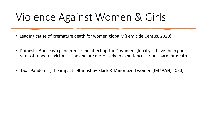## Violence Against Women & Girls

- Leading cause of premature death for women globally (Femicide Census, 2020)
- Domestic Abuse is a gendered crime affecting 1 in 4 women globally.... have the highest rates of repeated victimisation and are more likely to experience serious harm or death
- 'Dual Pandemic', the impact felt most by Black & Minoritized women (IMKAAN, 2020)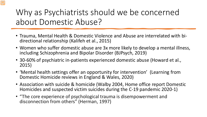Why as Psychiatrists should we be concerned about Domestic Abuse?

- Trauma, Mental Health & Domestic Violence and Abuse are interrelated with bi- directional relationship (Kalifeh et al., 2015)
- Women who suffer domestic abuse are 3x more likely to develop a mental illness, including Schizophrenia and Bipolar Disorder (BJPsych, 2019)
- 30-60% of psychiatric in-patients experienced domestic abuse (Howard et al., 2015)
- 'Mental health settings offer an opportunity for intervention' (Learning from Domestic Homicide reviews in England & Wales, 2020)
- Association with suicide & homicide (Walby 2004, Home office report Domestic Homicides and suspected victim suicides during the C-19 pandemic 2020-1)
- "The core experience of psychological trauma is disempowerment and disconnection from others" (Herman, 1997)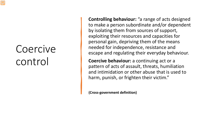# Coercive control

**Controlling behaviour:** "a range of acts designed to make a person subordinate and/or dependent by isolating them from sources of support, exploiting their resources and capacities for personal gain, depriving them of the means needed for independence, resistance and escape and regulating their everyday behaviour.

**Coercive behaviour:** a continuing act or a pattern of acts of assault, threats, humiliation and intimidation or other abuse that is used to harm, punish, or frighten their victim."

**(Cross-government definition)**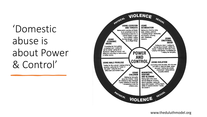'Domestic abuse is about Power & Control'



www.theduluthmodel.org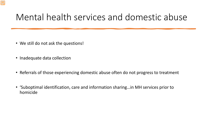### Mental health services and domestic abuse

- We still do not ask the questions!
- Inadequate data collection
- Referrals of those experiencing domestic abuse often do not progress to treatment
- 'Suboptimal identification, care and information sharing…in MH services prior to homicide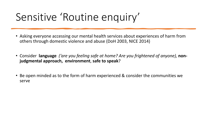## Sensitive 'Routine enquiry'

- Asking everyone accessing our mental health services about experiences of harm from others through domestic violence and abuse (DoH 2003, NICE 2014)
- Consider **language** *('are you feeling safe at home? Are you frightened of anyone),* **nonjudgmental approach, environment**, **safe to speak**?
- Be open minded as to the form of harm experienced & consider the communities we serve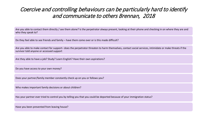#### Coercive and controlling behaviours can be particularly hard to identify and communicate to others Brennan, 2018

Are you able to contact them directly / see them alone? Is the perpetrator always present, looking at their phone and checking in on where they are and who they speak to?

Do they feel able to see friends and family – have them come over or is this made difficult?

Are you able to make contact for support– does the perpetrator threaten to harm themselves, contact social services, intimidate or make threats if the survivor told anyone or accessed support

Are they able to have a job? Study? Learn English? Have their own aspirations?

Do you have access to your own money?

Does your partner/family member constantly check up on you or follows you?

Who makes important family decisions or about children?

Has your partner ever tried to control you by telling you that you could be deported because of your immigration status?

Have you been prevented from leaving house?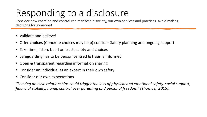### Responding to a disclosure

Consider how coercion and control can manifest in society, our own services and practices- avoid making decisions for someone!

- Validate and believe!
- Offer **choices** (Concrete choices may help) consider Safety planning and ongoing support
- Take time, listen, build on trust, safety and choices
- Safeguarding has to be person centred & trauma informed
- Open & transparent regarding information sharing
- Consider an individual as an expert in their own safety
- Consider our own expectations

*"Leaving abusive relationships could trigger the loss of physical and emotional safety, social support, financial stability, home, control over parenting and personal freedom" (Thomas, 2015).*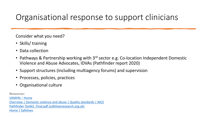### Organisational response to support clinicians

Consider what you need?

- Skills/training
- Data collection
- Pathways & Partnership working with 3<sup>rd</sup> sector e.g. Co-location Independent Domestic Violence and Abuse Advocates, IDVAs (Pathfinder report 2020)
- Support structures (including multiagency forums) and supervision
- Processes, policies, practices
- Organisational culture

**Resources:** 

[VAMHN –](https://www.vamhn.co.uk/) Home [Overview | Domestic violence and abuse | Quality standards | NICE](https://www.nice.org.uk/guidance/qs116) Pathfinder Toolkit Final.pdf (safelivesresearch.org.uk) [Home | Safelives](https://safelives.org.uk/)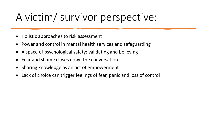## A victim/ survivor perspective:

- Holistic approaches to risk assessment
- Power and control in mental health services and safeguarding
- A space of psychological safety: validating and believing
- Fear and shame closes down the conversation
- Sharing knowledge as an act of empowerment
- Lack of choice can trigger feelings of fear, panic and loss of control